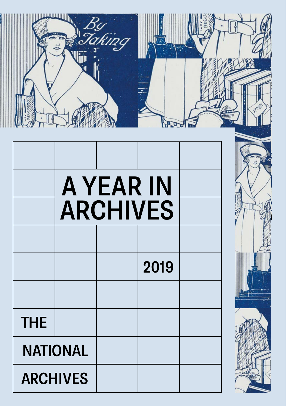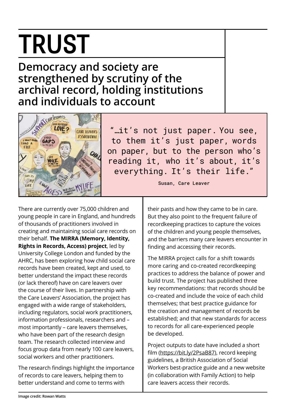### TRUST

#### **Democracy and society are strengthened by scrutiny of the archival record, holding institutions and individuals to account**



"…it's not just paper. You see, to them it's just paper, words on paper, but to the person who's reading it, who it's about, it's everything. It's their life."

There are currently over 75,000 children and young people in care in England, and hundreds of thousands of practitioners involved in creating and maintaining social care records on their behalf. **The MIRRA (Memory, Identity, Rights in Records, Access) project**, led by University College London and funded by the AHRC, has been exploring how child social care records have been created, kept and used, to better understand the impact these records (or lack thereof) have on care leavers over the course of their lives. In partnership with the Care Leavers' Association, the project has engaged with a wide range of stakeholders, including regulators, social work practitioners, information professionals, researchers and – most importantly – care leavers themselves, who have been part of the research design team. The research collected interview and focus group data from nearly 100 care leavers, social workers and other practitioners.

The research findings highlight the importance of records to care leavers, helping them to better understand and come to terms with

Susan, Care Leaver

their pasts and how they came to be in care. But they also point to the frequent failure of recordkeeping practices to capture the voices of the children and young people themselves, and the barriers many care leavers encounter in finding and accessing their records.

The MIRRA project calls for a shift towards more caring and co-created recordkeeping practices to address the balance of power and build trust. The project has published three key recommendations: that records should be co-created and include the voice of each child themselves; that best practice guidance for the creation and management of records be established; and that new standards for access to records for all care-experienced people be developed.

Project outputs to date have included a short film (https://bit.ly/2PsaB87), record keeping guidelines, a British Association of Social Workers best-practice guide and a new website (in collaboration with Family Action) to help care leavers access their records.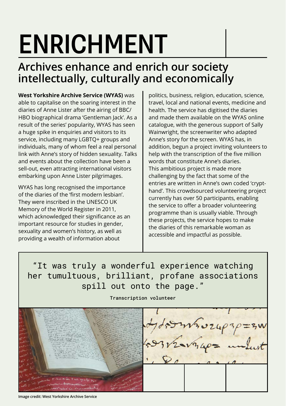# ENRICHMENT

### **Archives enhance and enrich our society intellectually, culturally and economically**

**West Yorkshire Archive Service (WYAS)** was able to capitalise on the soaring interest in the diaries of Anne Lister after the airing of BBC/ HBO biographical drama 'Gentleman Jack'. As a result of the series' popularity, WYAS has seen a huge spike in enquiries and visitors to its service, including many LGBTQ+ groups and individuals, many of whom feel a real personal link with Anne's story of hidden sexuality. Talks and events about the collection have been a sell-out, even attracting international visitors embarking upon Anne Lister pilgrimages.

WYAS has long recognised the importance of the diaries of the 'first modern lesbian'. They were inscribed in the UNESCO UK Memory of the World Register in 2011, which acknowledged their significance as an important resource for studies in gender, sexuality and women's history, as well as providing a wealth of information about

politics, business, religion, education, science, travel, local and national events, medicine and health. The service has digitised the diaries and made them available on the WYAS online catalogue, with the generous support of Sally Wainwright, the screenwriter who adapted Anne's story for the screen. WYAS has, in addition, begun a project inviting volunteers to help with the transcription of the five million words that constitute Anne's diaries. This ambitious project is made more challenging by the fact that some of the entries are written in Anne's own coded 'crypthand'. This crowdsourced volunteering project currently has over 50 participants, enabling the service to offer a broader volunteering programme than is usually viable. Through these projects, the service hopes to make the diaries of this remarkable woman as accessible and impactful as possible.

"It was truly a wonderful experience watching her tumultuous, brilliant, profane associations spill out onto the page."

Transcription volunteer

offormsvzupap=3W

**Image credit: West Yorkshire Archive Service**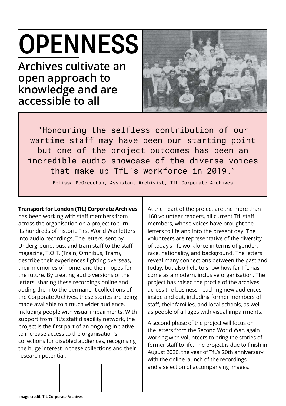# **OPENNESS**

**Archives cultivate an open approach to knowledge and are accessible to all**



"Honouring the selfless contribution of our wartime staff may have been our starting point but one of the project outcomes has been an incredible audio showcase of the diverse voices that make up TfL's workforce in 2019."

Melissa McGreechan, Assistant Archivist, TfL Corporate Archives

#### **Transport for London (TfL) Corporate Archives**

has been working with staff members from across the organisation on a project to turn its hundreds of historic First World War letters into audio recordings. The letters, sent by Underground, bus, and tram staff to the staff magazine, T.O.T. (Train, Omnibus, Tram), describe their experiences fighting overseas, their memories of home, and their hopes for the future. By creating audio versions of the letters, sharing these recordings online and adding them to the permanent collections of the Corporate Archives, these stories are being made available to a much wider audience, including people with visual impairments. With support from TfL's staff disability network, the project is the first part of an ongoing initiative to increase access to the organisation's collections for disabled audiences, recognising the huge interest in these collections and their research potential.

At the heart of the project are the more than 160 volunteer readers, all current TfL staff members, whose voices have brought the letters to life and into the present day. The volunteers are representative of the diversity of today's TfL workforce in terms of gender, race, nationality, and background. The letters reveal many connections between the past and today, but also help to show how far TfL has come as a modern, inclusive organisation. The project has raised the profile of the archives across the business, reaching new audiences inside and out, including former members of staff, their families, and local schools, as well as people of all ages with visual impairments.

A second phase of the project will focus on the letters from the Second World War, again working with volunteers to bring the stories of former staff to life. The project is due to finish in August 2020, the year of TfL's 20th anniversary, with the online launch of the recordings and a selection of accompanying images.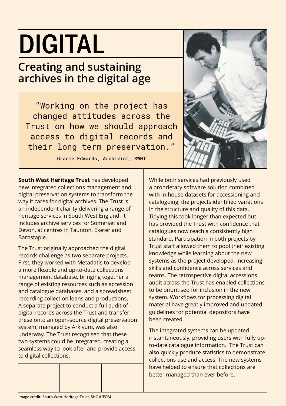### DIGITAL

### **Creating and sustaining archives in the digital age**

"Working on the project has changed attitudes across the Trust on how we should approach access to digital records and their long term preservation."

Graeme Edwards, Archivist, SWHT

**South West Heritage Trust** has developed new integrated collections management and digital preservation systems to transform the way it cares for digital archives. The Trust is an independent charity delivering a range of heritage services in South West England. It includes archive services for Somerset and Devon, at centres in Taunton, Exeter and Barnstaple.

The Trust originally approached the digital records challenge as two separate projects. First, they worked with Metadatis to develop a more flexible and up-to-date collections management database, bringing together a range of existing resources such as accession and catalogue databases, and a spreadsheet recording collection loans and productions. A separate project to conduct a full audit of digital records across the Trust and transfer these onto an open-source digital preservation system, managed by Arkivum, was also underway. The Trust recognised that these two systems could be integrated, creating a seamless way to look after and provide access to digital collections.



The integrated systems can be updated instantaneously, providing users with fully upto-date catalogue information. The Trust can also quickly produce statistics to demonstrate collections use and access. The new systems have helped to ensure that collections are better managed than ever before.

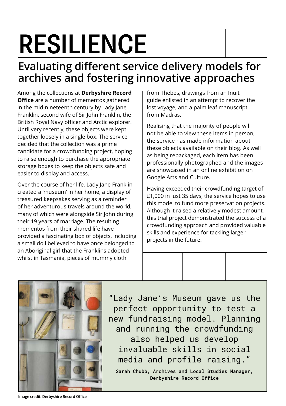# RESILIENCE

### **Evaluating different service delivery models for archives and fostering innovative approaches**

Among the collections at **Derbyshire Record Office** are a number of mementos gathered in the mid-nineteenth century by Lady Jane Franklin, second wife of Sir John Franklin, the British Royal Navy officer and Arctic explorer. Until very recently, these objects were kept together loosely in a single box. The service decided that the collection was a prime candidate for a crowdfunding project, hoping to raise enough to purchase the appropriate storage boxes to keep the objects safe and easier to display and access.

Over the course of her life, Lady Jane Franklin created a 'museum' in her home, a display of treasured keepsakes serving as a reminder of her adventurous travels around the world, many of which were alongside Sir John during their 19 years of marriage. The resulting mementos from their shared life have provided a fascinating box of objects, including a small doll believed to have once belonged to an Aboriginal girl that the Franklins adopted whilst in Tasmania, pieces of mummy cloth

from Thebes, drawings from an Inuit guide enlisted in an attempt to recover the lost voyage, and a palm leaf manuscript from Madras.

Realising that the majority of people will not be able to view these items in person, the service has made information about these objects available on their blog. As well as being repackaged, each item has been professionally photographed and the images are showcased in an online exhibition on Google Arts and Culture.

Having exceeded their crowdfunding target of £1,000 in just 35 days, the service hopes to use this model to fund more preservation projects. Although it raised a relatively modest amount, this trial project demonstrated the success of a crowdfunding approach and provided valuable skills and experience for tackling larger projects in the future.



"Lady Jane's Museum gave us the perfect opportunity to test a new fundraising model. Planning and running the crowdfunding also helped us develop invaluable skills in social media and profile raising."

Sarah Chubb, Archives and Local Studies Manager, Derbyshire Record Office

**Image credit: Derbyshire Record Office**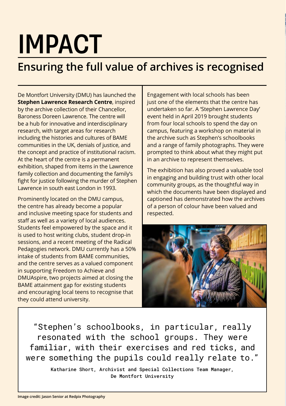## IMPACT

### **Ensuring the full value of archives is recognised**

De Montfort University (DMU) has launched the **Stephen Lawrence Research Centre**, inspired by the archive collection of their Chancellor, Baroness Doreen Lawrence. The centre will be a hub for innovative and interdisciplinary research, with target areas for research including the histories and cultures of BAME communities in the UK, denials of justice, and the concept and practice of institutional racism. At the heart of the centre is a permanent exhibition, shaped from items in the Lawrence family collection and documenting the family's fight for justice following the murder of Stephen Lawrence in south east London in 1993.

Prominently located on the DMU campus, the centre has already become a popular and inclusive meeting space for students and staff as well as a variety of local audiences. Students feel empowered by the space and it is used to host writing clubs, student drop-in sessions, and a recent meeting of the Radical Pedagogies network. DMU currently has a 50% intake of students from BAME communities, and the centre serves as a valued component in supporting Freedom to Achieve and DMUAspire, two projects aimed at closing the BAME attainment gap for existing students and encouraging local teens to recognise that they could attend university.

Engagement with local schools has been just one of the elements that the centre has undertaken so far. A 'Stephen Lawrence Day' event held in April 2019 brought students from four local schools to spend the day on campus, featuring a workshop on material in the archive such as Stephen's schoolbooks and a range of family photographs. They were prompted to think about what they might put in an archive to represent themselves.

The exhibition has also proved a valuable tool in engaging and building trust with other local community groups, as the thoughtful way in which the documents have been displayed and captioned has demonstrated how the archives of a person of colour have been valued and respected.



"Stephen's schoolbooks, in particular, really resonated with the school groups. They were familiar, with their exercises and red ticks, and were something the pupils could really relate to."

> Katharine Short, Archivist and Special Collections Team Manager, De Montfort University